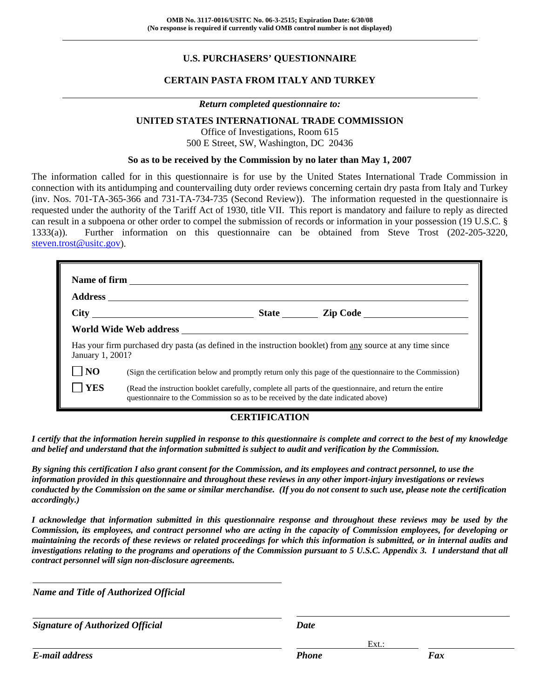# **U.S. PURCHASERS' QUESTIONNAIRE**

## **CERTAIN PASTA FROM ITALY AND TURKEY**

#### *Return completed questionnaire to:*

#### **UNITED STATES INTERNATIONAL TRADE COMMISSION**

Office of Investigations, Room 615 500 E Street, SW, Washington, DC 20436

#### **So as to be received by the Commission by no later than May 1, 2007**

The information called for in this questionnaire is for use by the United States International Trade Commission in connection with its antidumping and countervailing duty order reviews concerning certain dry pasta from Italy and Turkey (inv. Nos. 701-TA-365-366 and 731-TA-734-735 (Second Review)). The information requested in the questionnaire is requested under the authority of the Tariff Act of 1930, title VII. This report is mandatory and failure to reply as directed can result in a subpoena or other order to compel the submission of records or information in your possession (19 U.S.C. § 1333(a)). Further information on this questionnaire can be obtained from Steve Trost (202-205-3220, steven.trost@usitc.gov).

| January 1, 2001? |                                                                                   | Has your firm purchased dry pasta (as defined in the instruction booklet) from any source at any time since |
|------------------|-----------------------------------------------------------------------------------|-------------------------------------------------------------------------------------------------------------|
| N <sub>O</sub>   |                                                                                   | (Sign the certification below and promptly return only this page of the questionnaire to the Commission)    |
| <b>YES</b>       | questionnaire to the Commission so as to be received by the date indicated above) | (Read the instruction booklet carefully, complete all parts of the questionnaire, and return the entire     |

#### **CERTIFICATION**

*I certify that the information herein supplied in response to this questionnaire is complete and correct to the best of my knowledge and belief and understand that the information submitted is subject to audit and verification by the Commission.* 

*By signing this certification I also grant consent for the Commission, and its employees and contract personnel, to use the information provided in this questionnaire and throughout these reviews in any other import-injury investigations or reviews conducted by the Commission on the same or similar merchandise. (If you do not consent to such use, please note the certification accordingly.)* 

*I acknowledge that information submitted in this questionnaire response and throughout these reviews may be used by the Commission, its employees, and contract personnel who are acting in the capacity of Commission employees, for developing or maintaining the records of these reviews or related proceedings for which this information is submitted, or in internal audits and investigations relating to the programs and operations of the Commission pursuant to 5 U.S.C. Appendix 3. I understand that all contract personnel will sign non-disclosure agreements.* 

| <b>Name and Title of Authorized Official</b> |              |          |
|----------------------------------------------|--------------|----------|
| <b>Signature of Authorized Official</b>      | <b>Date</b>  |          |
|                                              |              | $Ext.$ : |
| E-mail address                               | <b>Phone</b> | Fax      |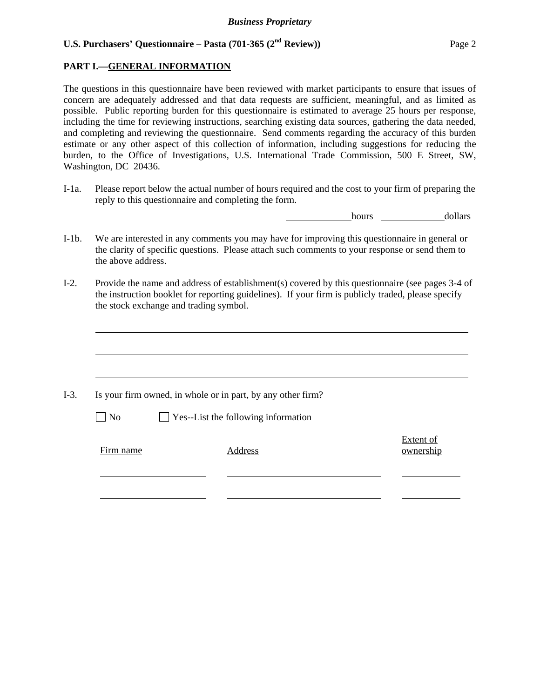## **PART I.—GENERAL INFORMATION**

The questions in this questionnaire have been reviewed with market participants to ensure that issues of concern are adequately addressed and that data requests are sufficient, meaningful, and as limited as possible. Public reporting burden for this questionnaire is estimated to average 25 hours per response, including the time for reviewing instructions, searching existing data sources, gathering the data needed, and completing and reviewing the questionnaire. Send comments regarding the accuracy of this burden estimate or any other aspect of this collection of information, including suggestions for reducing the burden, to the Office of Investigations, U.S. International Trade Commission, 500 E Street, SW, Washington, DC 20436.

I-1a. Please report below the actual number of hours required and the cost to your firm of preparing the reply to this questionnaire and completing the form.

hours **dollars** 

- I-1b. We are interested in any comments you may have for improving this questionnaire in general or the clarity of specific questions. Please attach such comments to your response or send them to the above address.
- I-2. Provide the name and address of establishment(s) covered by this questionnaire (see pages 3-4 of the instruction booklet for reporting guidelines). If your firm is publicly traded, please specify the stock exchange and trading symbol.

|                | Is your firm owned, in whole or in part, by any other firm? |                        |
|----------------|-------------------------------------------------------------|------------------------|
| N <sub>o</sub> | $\Box$ Yes--List the following information                  |                        |
| Firm name      | Address                                                     | Extent of<br>ownership |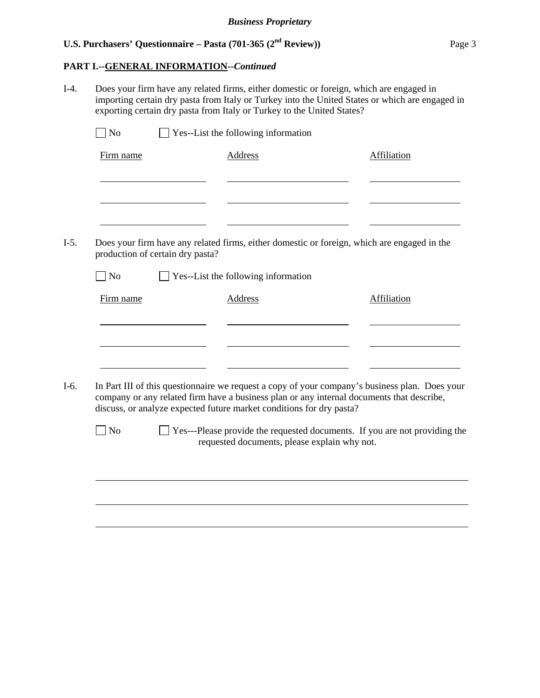### **PART I.--GENERAL INFORMATION***--Continued*

I-4. Does your firm have any related firms, either domestic or foreign, which are engaged in importing certain dry pasta from Italy or Turkey into the United States or which are engaged in exporting certain dry pasta from Italy or Turkey to the United States?  $\Box$  No  $\Box$  Yes--List the following information Firm name Address Address Affiliation l l l I-5. Does your firm have any related firms, either domestic or foreign, which are engaged in the production of certain dry pasta?  $\Box$  No  $\Box$  Yes--List the following information Firm name Address Address Address Affiliation l l <u> 1989 - Johann Barbara, martin a</u> l I-6. In Part III of this questionnaire we request a copy of your company's business plan. Does your company or any related firm have a business plan or any internal documents that describe, discuss, or analyze expected future market conditions for dry pasta? No Ses---Please provide the requested documents. If you are not providing the requested documents, please explain why not.  $\overline{a}$  $\overline{a}$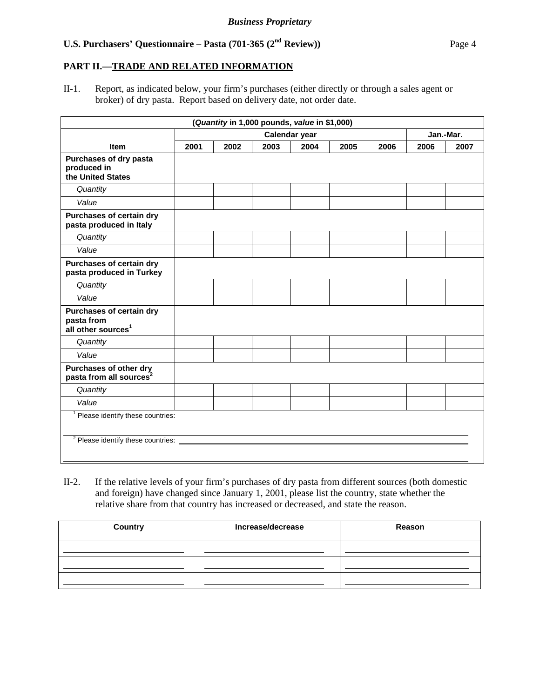### **PART II.—TRADE AND RELATED INFORMATION**

II-1. Report, as indicated below, your firm's purchases (either directly or through a sales agent or broker) of dry pasta. Report based on delivery date, not order date.

|                                                                          |      | (Quantity in 1,000 pounds, value in \$1,000) |      |               |      |      |      |           |
|--------------------------------------------------------------------------|------|----------------------------------------------|------|---------------|------|------|------|-----------|
|                                                                          |      |                                              |      | Calendar year |      |      |      | Jan.-Mar. |
| <b>Item</b>                                                              | 2001 | 2002                                         | 2003 | 2004          | 2005 | 2006 | 2006 | 2007      |
| Purchases of dry pasta<br>produced in<br>the United States               |      |                                              |      |               |      |      |      |           |
| Quantity                                                                 |      |                                              |      |               |      |      |      |           |
| Value                                                                    |      |                                              |      |               |      |      |      |           |
| Purchases of certain dry<br>pasta produced in Italy                      |      |                                              |      |               |      |      |      |           |
| Quantity                                                                 |      |                                              |      |               |      |      |      |           |
| Value                                                                    |      |                                              |      |               |      |      |      |           |
| Purchases of certain dry<br>pasta produced in Turkey                     |      |                                              |      |               |      |      |      |           |
| Quantity                                                                 |      |                                              |      |               |      |      |      |           |
| Value                                                                    |      |                                              |      |               |      |      |      |           |
| Purchases of certain dry<br>pasta from<br>all other sources <sup>1</sup> |      |                                              |      |               |      |      |      |           |
| Quantity                                                                 |      |                                              |      |               |      |      |      |           |
| Value                                                                    |      |                                              |      |               |      |      |      |           |
| Purchases of other dry<br>pasta from all sources <sup>2</sup>            |      |                                              |      |               |      |      |      |           |
| Quantity                                                                 |      |                                              |      |               |      |      |      |           |
| Value                                                                    |      |                                              |      |               |      |      |      |           |
| <sup>1</sup> Please identify these countries: _________                  |      |                                              |      |               |      |      |      |           |
| <sup>2</sup> Please identify these countries:                            |      |                                              |      |               |      |      |      |           |

II-2. If the relative levels of your firm's purchases of dry pasta from different sources (both domestic and foreign) have changed since January 1, 2001, please list the country, state whether the relative share from that country has increased or decreased, and state the reason.

| <b>Country</b> | Increase/decrease | Reason |
|----------------|-------------------|--------|
|                |                   |        |
|                |                   |        |
|                |                   |        |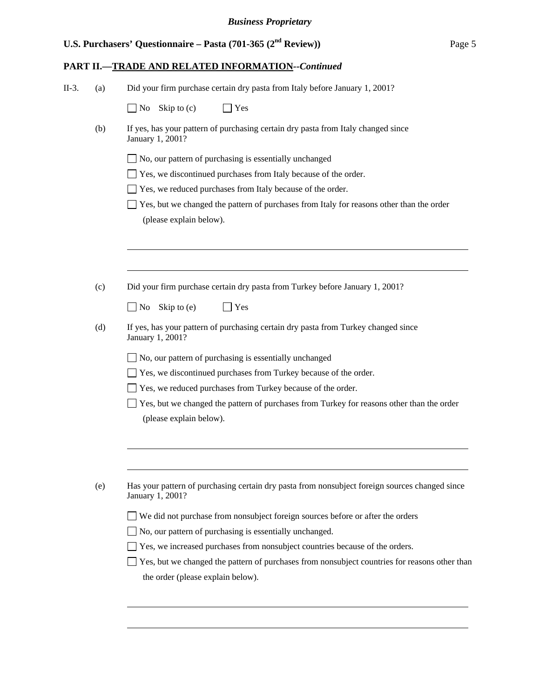# **PART II.—TRADE AND RELATED INFORMATION***--Continued*

| Did your firm purchase certain dry pasta from Italy before January 1, 2001?<br>II-3.<br>(a) |  |
|---------------------------------------------------------------------------------------------|--|
|---------------------------------------------------------------------------------------------|--|

|     | Skip to $(c)$<br>No<br>Yes                                                                                         |
|-----|--------------------------------------------------------------------------------------------------------------------|
| (b) | If yes, has your pattern of purchasing certain dry pasta from Italy changed since<br>January 1, 2001?              |
|     | No, our pattern of purchasing is essentially unchanged                                                             |
|     | Yes, we discontinued purchases from Italy because of the order.                                                    |
|     | Yes, we reduced purchases from Italy because of the order.                                                         |
|     | Yes, but we changed the pattern of purchases from Italy for reasons other than the order                           |
|     | (please explain below).                                                                                            |
|     |                                                                                                                    |
|     |                                                                                                                    |
| (c) | Did your firm purchase certain dry pasta from Turkey before January 1, 2001?                                       |
|     | N <sub>0</sub><br>Skip to (e)<br>Yes                                                                               |
| (d) | If yes, has your pattern of purchasing certain dry pasta from Turkey changed since<br>January 1, 2001?             |
|     | No, our pattern of purchasing is essentially unchanged                                                             |
|     | Yes, we discontinued purchases from Turkey because of the order.                                                   |
|     | Yes, we reduced purchases from Turkey because of the order.                                                        |
|     | Yes, but we changed the pattern of purchases from Turkey for reasons other than the order                          |
|     | (please explain below).                                                                                            |
|     |                                                                                                                    |
|     |                                                                                                                    |
| (e) | Has your pattern of purchasing certain dry pasta from nonsubject foreign sources changed since<br>January 1, 2001? |
|     | We did not purchase from nonsubject foreign sources before or after the orders                                     |
|     | No, our pattern of purchasing is essentially unchanged.                                                            |
|     | Yes, we increased purchases from nonsubject countries because of the orders.                                       |
|     | Yes, but we changed the pattern of purchases from nonsubject countries for reasons other than                      |
|     | the order (please explain below).                                                                                  |
|     |                                                                                                                    |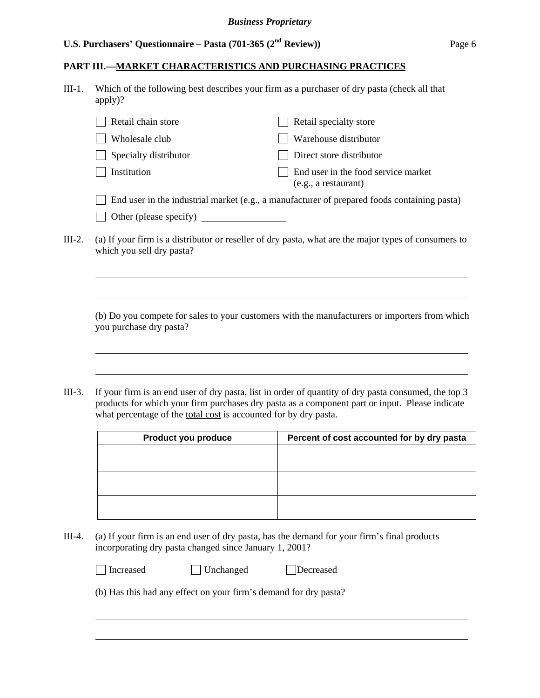### **PART III.—MARKET CHARACTERISTICS AND PURCHASING PRACTICES**

III-1. Which of the following best describes your firm as a purchaser of dry pasta (check all that apply)?

|                           | Retail chain store    | Retail specialty store                                                                                                                                                                                                           |
|---------------------------|-----------------------|----------------------------------------------------------------------------------------------------------------------------------------------------------------------------------------------------------------------------------|
|                           | Wholesale club        | Warehouse distributor                                                                                                                                                                                                            |
|                           | Specialty distributor | Direct store distributor                                                                                                                                                                                                         |
|                           | Institution           | End user in the food service market<br>(e.g., a restaurant)                                                                                                                                                                      |
|                           |                       | End user in the industrial market (e.g., a manufacturer of prepared foods containing pasta)                                                                                                                                      |
|                           |                       |                                                                                                                                                                                                                                  |
| $\mathbf{r}$ $\mathbf{r}$ |                       | $\mathbf{11}$ . The set of the set of the set of the set of the set of the set of the set of the set of the set of the set of the set of the set of the set of the set of the set of the set of the set of the set of the set of |

III-2. (a) If your firm is a distributor or reseller of dry pasta, what are the major types of consumers to which you sell dry pasta?

(b) Do you compete for sales to your customers with the manufacturers or importers from which you purchase dry pasta?

III-3. If your firm is an end user of dry pasta, list in order of quantity of dry pasta consumed, the top 3 products for which your firm purchases dry pasta as a component part or input. Please indicate what percentage of the total cost is accounted for by dry pasta.

| Product you produce | Percent of cost accounted for by dry pasta |
|---------------------|--------------------------------------------|
|                     |                                            |
|                     |                                            |
|                     |                                            |
|                     |                                            |
|                     |                                            |
|                     |                                            |

III-4. (a) If your firm is an end user of dry pasta, has the demand for your firm's final products incorporating dry pasta changed since January 1, 2001?

| Increased | $\Box$ Unchanged                                                 | Decreased |
|-----------|------------------------------------------------------------------|-----------|
|           | (b) Has this had any effect on your firm's demand for dry pasta? |           |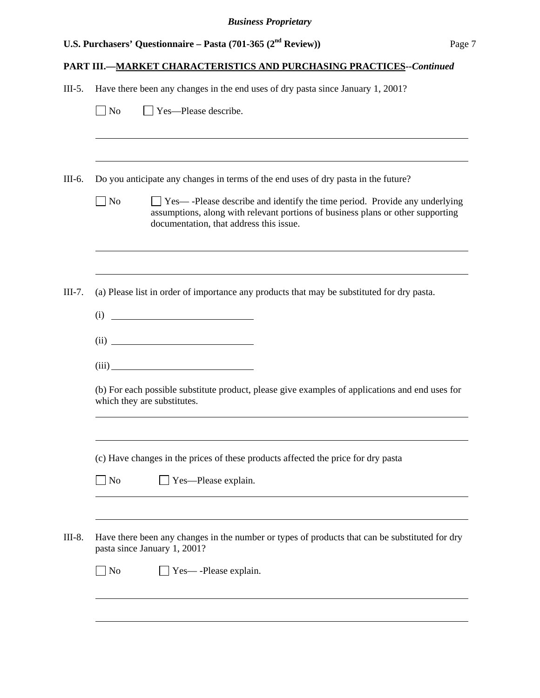# **PART III.—MARKET CHARACTERISTICS AND PURCHASING PRACTICES***--Continued*

| III-5. Have there been any changes in the end uses of dry pasta since January 1, 2001? |  |  |
|----------------------------------------------------------------------------------------|--|--|

|           | Do you anticipate any changes in terms of the end uses of dry pasta in the future?                                                                                                                             |
|-----------|----------------------------------------------------------------------------------------------------------------------------------------------------------------------------------------------------------------|
| No        | $\Box$ Yes—-Please describe and identify the time period. Provide any underlying<br>assumptions, along with relevant portions of business plans or other supporting<br>documentation, that address this issue. |
|           |                                                                                                                                                                                                                |
|           | (a) Please list in order of importance any products that may be substituted for dry pasta.<br>(i)                                                                                                              |
|           |                                                                                                                                                                                                                |
|           |                                                                                                                                                                                                                |
|           |                                                                                                                                                                                                                |
|           | (b) For each possible substitute product, please give examples of applications and end uses for<br>which they are substitutes.                                                                                 |
|           | (c) Have changes in the prices of these products affected the price for dry pasta                                                                                                                              |
| <b>No</b> | $\Box$ Yes—Please explain.                                                                                                                                                                                     |
|           | Have there been any changes in the number or types of products that can be substituted for dry<br>pasta since January 1, 2001?                                                                                 |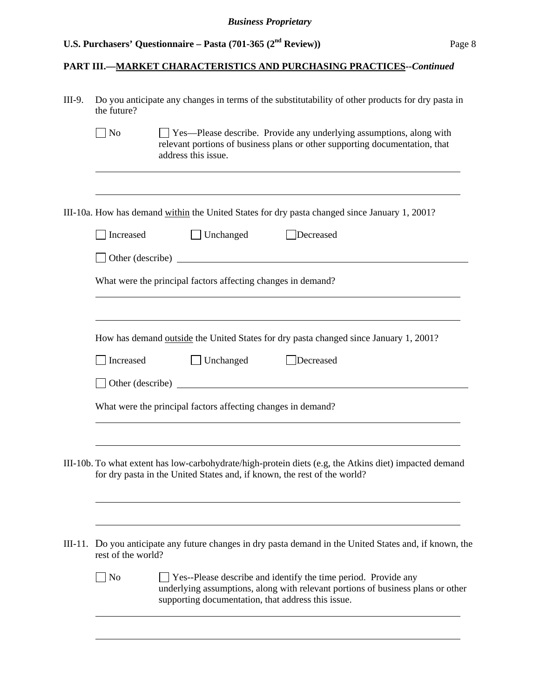# **PART III.—MARKET CHARACTERISTICS AND PURCHASING PRACTICES***--Continued*

| the future?                 | Do you anticipate any changes in terms of the substitutability of other products for dry pasta in                                                                                  |
|-----------------------------|------------------------------------------------------------------------------------------------------------------------------------------------------------------------------------|
| $\overline{\phantom{a}}$ No | $\Box$ Yes—Please describe. Provide any underlying assumptions, along with<br>relevant portions of business plans or other supporting documentation, that<br>address this issue.   |
|                             | III-10a. How has demand within the United States for dry pasta changed since January 1, 2001?                                                                                      |
| Increased                   | $\Box$ Unchanged<br>Decreased                                                                                                                                                      |
|                             | Other (describe)                                                                                                                                                                   |
|                             | What were the principal factors affecting changes in demand?                                                                                                                       |
|                             |                                                                                                                                                                                    |
|                             | How has demand <u>outside</u> the United States for dry pasta changed since January 1, 2001?                                                                                       |
| Increased                   | Unchanged<br>Decreased                                                                                                                                                             |
|                             | Other (describe)                                                                                                                                                                   |
|                             | What were the principal factors affecting changes in demand?                                                                                                                       |
|                             | III-10b. To what extent has low-carbohydrate/high-protein diets (e.g, the Atkins diet) impacted demand<br>for dry pasta in the United States and, if known, the rest of the world? |
| rest of the world?          | Do you anticipate any future changes in dry pasta demand in the United States and, if known, the                                                                                   |
| $\log$                      | Yes--Please describe and identify the time period. Provide any<br>underlying assumptions, along with relevant portions of business plans or other                                  |
|                             |                                                                                                                                                                                    |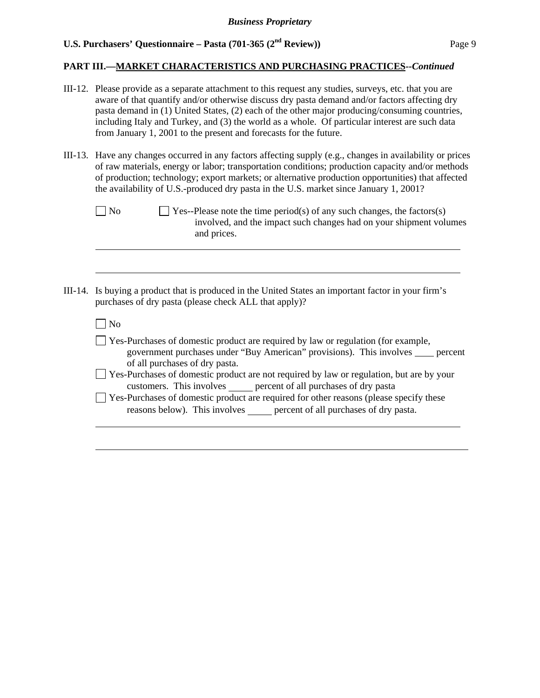$\overline{\phantom{a}}$ 

l

## **PART III.—MARKET CHARACTERISTICS AND PURCHASING PRACTICES***--Continued*

- III-12. Please provide as a separate attachment to this request any studies, surveys, etc. that you are aware of that quantify and/or otherwise discuss dry pasta demand and/or factors affecting dry pasta demand in (1) United States, (2) each of the other major producing/consuming countries, including Italy and Turkey, and (3) the world as a whole. Of particular interest are such data from January 1, 2001 to the present and forecasts for the future.
- III-13. Have any changes occurred in any factors affecting supply (e.g., changes in availability or prices of raw materials, energy or labor; transportation conditions; production capacity and/or methods of production; technology; export markets; or alternative production opportunities) that affected the availability of U.S.-produced dry pasta in the U.S. market since January 1, 2001?

| $\Box$ No | $\Box$ Yes--Please note the time period(s) of any such changes, the factors(s) |
|-----------|--------------------------------------------------------------------------------|
|           | involved, and the impact such changes had on your shipment volumes             |
|           | and prices.                                                                    |

III-14. Is buying a product that is produced in the United States an important factor in your firm's purchases of dry pasta (please check ALL that apply)?

| No                                                                                                                                                                                                                                                                                         |
|--------------------------------------------------------------------------------------------------------------------------------------------------------------------------------------------------------------------------------------------------------------------------------------------|
| $\Box$ Yes-Purchases of domestic product are required by law or regulation (for example,<br>government purchases under "Buy American" provisions). This involves percent                                                                                                                   |
| of all purchases of dry pasta.<br>□ Yes-Purchases of domestic product are not required by law or regulation, but are by your<br>customers. This involves percent of all purchases of dry pasta<br>□ Yes-Purchases of domestic product are required for other reasons (please specify these |
| reasons below). This involves percent of all purchases of dry pasta.                                                                                                                                                                                                                       |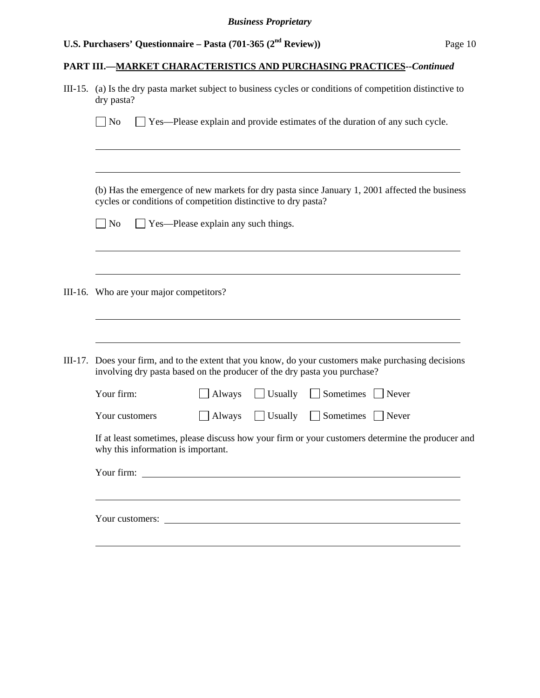# **PART III.—MARKET CHARACTERISTICS AND PURCHASING PRACTICES***--Continued*

|                                         | III-15. (a) Is the dry pasta market subject to business cycles or conditions of competition distinctive to<br>dry pasta?                                                 |  |  |  |  |
|-----------------------------------------|--------------------------------------------------------------------------------------------------------------------------------------------------------------------------|--|--|--|--|
|                                         | $\overline{\rm N}$<br>$\Box$ Yes—Please explain and provide estimates of the duration of any such cycle.                                                                 |  |  |  |  |
|                                         |                                                                                                                                                                          |  |  |  |  |
|                                         | (b) Has the emergence of new markets for dry pasta since January 1, 2001 affected the business<br>cycles or conditions of competition distinctive to dry pasta?          |  |  |  |  |
|                                         | $\blacksquare$ No<br>$\Box$ Yes—Please explain any such things.                                                                                                          |  |  |  |  |
|                                         |                                                                                                                                                                          |  |  |  |  |
| III-16. Who are your major competitors? |                                                                                                                                                                          |  |  |  |  |
|                                         |                                                                                                                                                                          |  |  |  |  |
| III-17.                                 | Does your firm, and to the extent that you know, do your customers make purchasing decisions<br>involving dry pasta based on the producer of the dry pasta you purchase? |  |  |  |  |
|                                         | Your firm:<br>Sometimes Never<br>Always<br>$\Box$ Usually                                                                                                                |  |  |  |  |
|                                         | Sometimes Never<br>Your customers<br>Always<br>Usually                                                                                                                   |  |  |  |  |
|                                         | If at least sometimes, please discuss how your firm or your customers determine the producer and<br>why this information is important.                                   |  |  |  |  |
|                                         | Your firm:                                                                                                                                                               |  |  |  |  |
|                                         |                                                                                                                                                                          |  |  |  |  |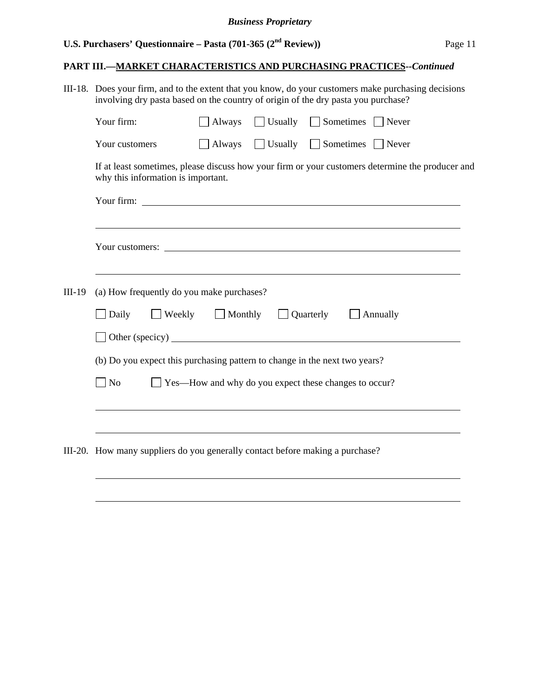## **PART III.—MARKET CHARACTERISTICS AND PURCHASING PRACTICES***--Continued*

|          | III-18. Does your firm, and to the extent that you know, do your customers make purchasing decisions<br>involving dry pasta based on the country of origin of the dry pasta you purchase?                                            |                          |                                |                                                                                                  |
|----------|--------------------------------------------------------------------------------------------------------------------------------------------------------------------------------------------------------------------------------------|--------------------------|--------------------------------|--------------------------------------------------------------------------------------------------|
|          | Your firm:                                                                                                                                                                                                                           | Always                   | Usually Sometimes Never        |                                                                                                  |
|          | Your customers                                                                                                                                                                                                                       |                          | Always Usually Sometimes Never |                                                                                                  |
|          | why this information is important.                                                                                                                                                                                                   |                          |                                | If at least sometimes, please discuss how your firm or your customers determine the producer and |
|          |                                                                                                                                                                                                                                      |                          |                                |                                                                                                  |
|          |                                                                                                                                                                                                                                      |                          |                                |                                                                                                  |
|          | Your customers: <u>example and the set of the set of the set of the set of the set of the set of the set of the set of the set of the set of the set of the set of the set of the set of the set of the set of the set of the se</u> |                          |                                |                                                                                                  |
|          |                                                                                                                                                                                                                                      |                          |                                |                                                                                                  |
| $III-19$ | (a) How frequently do you make purchases?                                                                                                                                                                                            |                          |                                |                                                                                                  |
|          | Daily                                                                                                                                                                                                                                | Weekly Monthly Quarterly |                                | Annually                                                                                         |
|          | Other (specicy)                                                                                                                                                                                                                      |                          |                                |                                                                                                  |
|          |                                                                                                                                                                                                                                      |                          |                                |                                                                                                  |

(b) Do you expect this purchasing pattern to change in the next two years?

No Yes—How and why do you expect these changes to occur?

<u> 1989 - Johann Stoff, amerikansk politiker (d. 1989)</u>

III-20. How many suppliers do you generally contact before making a purchase?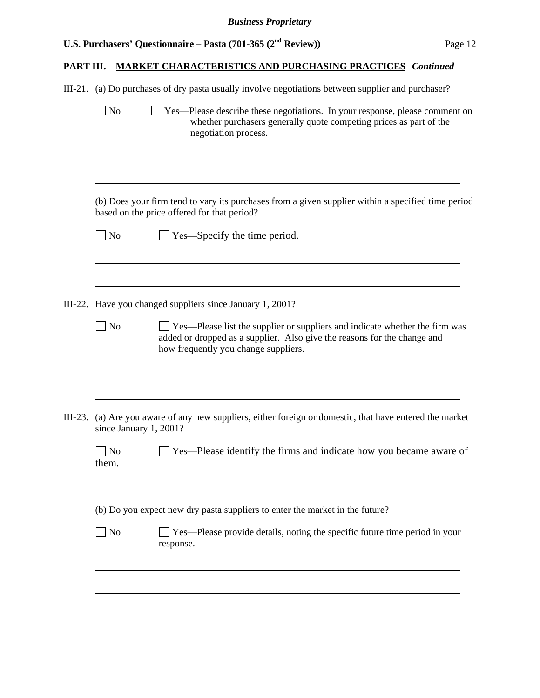# **PART III.—MARKET CHARACTERISTICS AND PURCHASING PRACTICES***--Continued*

|           | $\vert$ No              | III-21. (a) Do purchases of dry pasta usually involve negotiations between supplier and purchaser?<br>$\Box$ Yes—Please describe these negotiations. In your response, please comment on<br>whether purchasers generally quote competing prices as part of the<br>negotiation process. |
|-----------|-------------------------|----------------------------------------------------------------------------------------------------------------------------------------------------------------------------------------------------------------------------------------------------------------------------------------|
|           |                         | (b) Does your firm tend to vary its purchases from a given supplier within a specified time period<br>based on the price offered for that period?                                                                                                                                      |
|           | $\Box$ No               | $\Box$ Yes—Specify the time period.                                                                                                                                                                                                                                                    |
|           |                         | III-22. Have you changed suppliers since January 1, 2001?                                                                                                                                                                                                                              |
|           | No                      | Yes—Please list the supplier or suppliers and indicate whether the firm was<br>added or dropped as a supplier. Also give the reasons for the change and<br>how frequently you change suppliers.                                                                                        |
| $III-23.$ | since January 1, 2001?  | (a) Are you aware of any new suppliers, either foreign or domestic, that have entered the market                                                                                                                                                                                       |
|           | N <sub>o</sub><br>them. | Yes—Please identify the firms and indicate how you became aware of                                                                                                                                                                                                                     |
|           |                         | (b) Do you expect new dry pasta suppliers to enter the market in the future?                                                                                                                                                                                                           |
|           | No                      | Yes—Please provide details, noting the specific future time period in your                                                                                                                                                                                                             |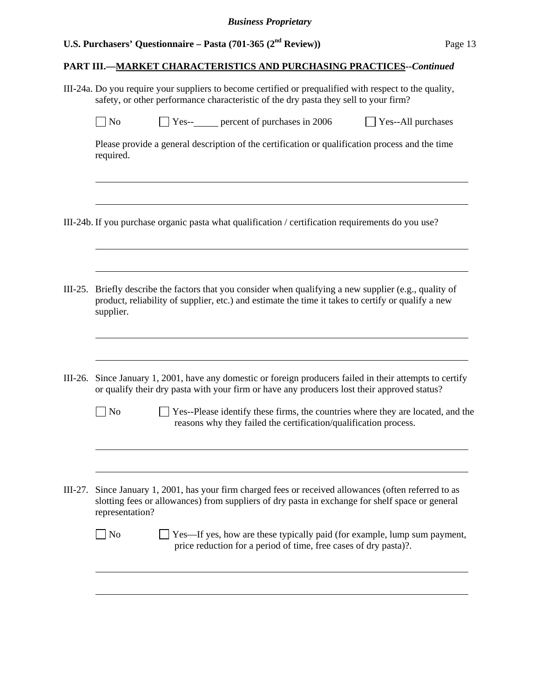$\overline{a}$ 

 $\overline{a}$ 

 $\overline{a}$ 

 $\overline{a}$ 

 $\overline{a}$ 

#### **PART III.—MARKET CHARACTERISTICS AND PURCHASING PRACTICES***--Continued*

III-24a. Do you require your suppliers to become certified or prequalified with respect to the quality, safety, or other performance characteristic of the dry pasta they sell to your firm?

| $\vert$ No | $Yes-$ | percent of purchases in 2006 | Yes--All purchases |
|------------|--------|------------------------------|--------------------|
|------------|--------|------------------------------|--------------------|

Please provide a general description of the certification or qualification process and the time required.

III-24b. If you purchase organic pasta what qualification / certification requirements do you use?

- III-25. Briefly describe the factors that you consider when qualifying a new supplier (e.g., quality of product, reliability of supplier, etc.) and estimate the time it takes to certify or qualify a new supplier.
- III-26. Since January 1, 2001, have any domestic or foreign producers failed in their attempts to certify or qualify their dry pasta with your firm or have any producers lost their approved status?
	- No Yes--Please identify these firms, the countries where they are located, and the reasons why they failed the certification/qualification process.
- III-27. Since January 1, 2001, has your firm charged fees or received allowances (often referred to as slotting fees or allowances) from suppliers of dry pasta in exchange for shelf space or general representation?

| No | $\Box$ Yes—If yes, how are these typically paid (for example, lump sum payment, |
|----|---------------------------------------------------------------------------------|
|    | price reduction for a period of time, free cases of dry pasta)?.                |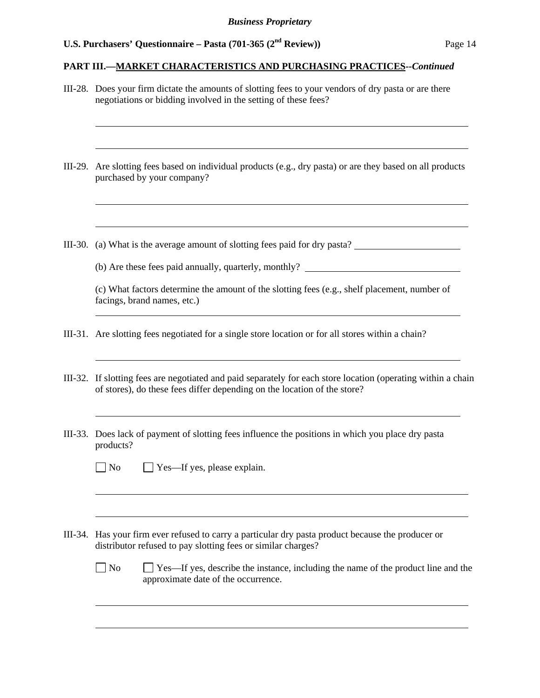#### **PART III.—MARKET CHARACTERISTICS AND PURCHASING PRACTICES***--Continued*

III-28. Does your firm dictate the amounts of slotting fees to your vendors of dry pasta or are there negotiations or bidding involved in the setting of these fees? l III-29. Are slotting fees based on individual products (e.g., dry pasta) or are they based on all products purchased by your company?  $\overline{a}$ III-30. (a) What is the average amount of slotting fees paid for dry pasta? (b) Are these fees paid annually, quarterly, monthly? (c) What factors determine the amount of the slotting fees (e.g., shelf placement, number of facings, brand names, etc.) III-31. Are slotting fees negotiated for a single store location or for all stores within a chain? III-32. If slotting fees are negotiated and paid separately for each store location (operating within a chain of stores), do these fees differ depending on the location of the store? III-33. Does lack of payment of slotting fees influence the positions in which you place dry pasta products?  $\Box$  No  $\Box$  Yes—If yes, please explain. l III-34. Has your firm ever refused to carry a particular dry pasta product because the producer or distributor refused to pay slotting fees or similar charges?  $\Box$  No  $\Box$  Yes—If yes, describe the instance, including the name of the product line and the approximate date of the occurrence. l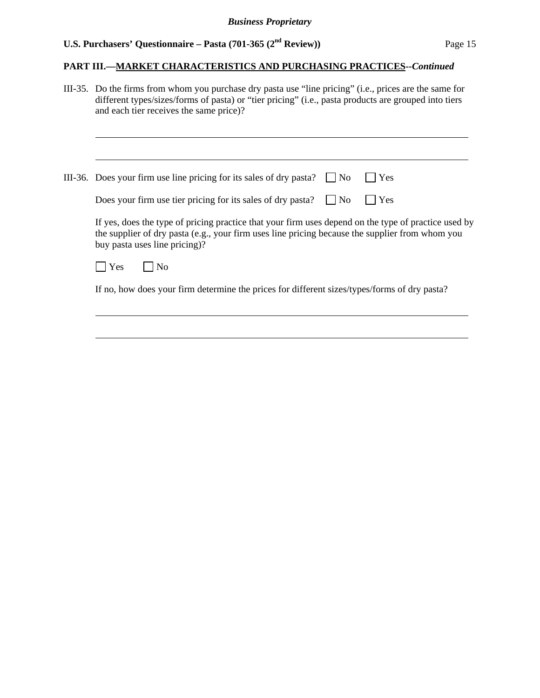#### **PART III.—MARKET CHARACTERISTICS AND PURCHASING PRACTICES***--Continued*

III-35. Do the firms from whom you purchase dry pasta use "line pricing" (i.e., prices are the same for different types/sizes/forms of pasta) or "tier pricing" (i.e., pasta products are grouped into tiers and each tier receives the same price)?

III-36. Does your firm use line pricing for its sales of dry pasta?  $\Box$  No  $\Box$  Yes

| Does your firm use tier pricing for its sales of dry pasta? $\Box$ No $\Box$ Yes |  |  |  |  |
|----------------------------------------------------------------------------------|--|--|--|--|
|----------------------------------------------------------------------------------|--|--|--|--|

 If yes, does the type of pricing practice that your firm uses depend on the type of practice used by the supplier of dry pasta (e.g., your firm uses line pricing because the supplier from whom you buy pasta uses line pricing)?

| O |
|---|
|---|

l

l

If no, how does your firm determine the prices for different sizes/types/forms of dry pasta?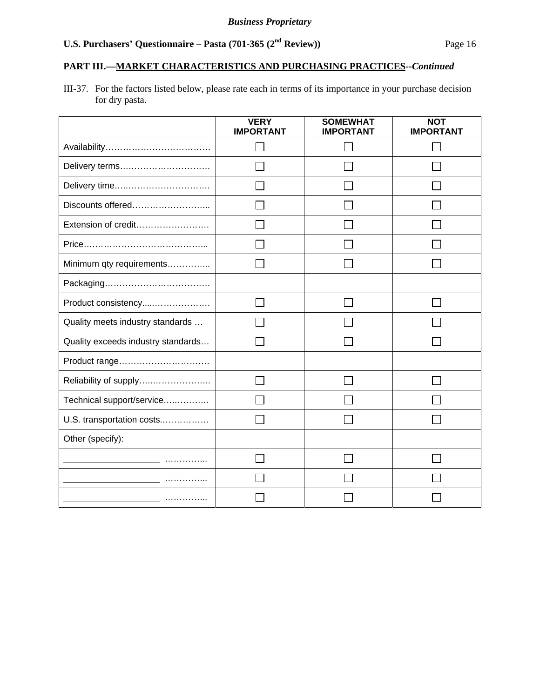## **PART III.—MARKET CHARACTERISTICS AND PURCHASING PRACTICES***--Continued*

III-37. For the factors listed below, please rate each in terms of its importance in your purchase decision for dry pasta.

|                                    | <b>VERY</b><br><b>IMPORTANT</b> | <b>SOMEWHAT</b><br><b>IMPORTANT</b> | <b>NOT</b><br><b>IMPORTANT</b> |
|------------------------------------|---------------------------------|-------------------------------------|--------------------------------|
|                                    |                                 |                                     |                                |
| Delivery terms                     |                                 |                                     |                                |
| Delivery time                      |                                 |                                     |                                |
| Discounts offered                  |                                 |                                     |                                |
| Extension of credit                |                                 |                                     |                                |
|                                    |                                 |                                     |                                |
| Minimum qty requirements           |                                 |                                     |                                |
|                                    |                                 |                                     |                                |
| Product consistency                |                                 |                                     |                                |
| Quality meets industry standards   |                                 |                                     |                                |
| Quality exceeds industry standards |                                 |                                     |                                |
| Product range                      |                                 |                                     |                                |
| Reliability of supply              |                                 |                                     |                                |
| Technical support/service          |                                 |                                     |                                |
| U.S. transportation costs          |                                 |                                     |                                |
| Other (specify):                   |                                 |                                     |                                |
|                                    |                                 |                                     |                                |
|                                    |                                 |                                     |                                |
|                                    |                                 |                                     |                                |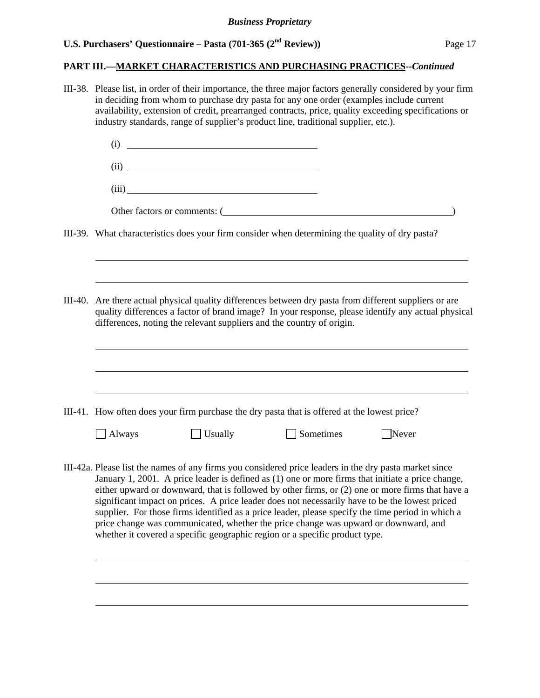#### **PART III.—MARKET CHARACTERISTICS AND PURCHASING PRACTICES***--Continued*

III-38. Please list, in order of their importance, the three major factors generally considered by your firm in deciding from whom to purchase dry pasta for any one order (examples include current availability, extension of credit, prearranged contracts, price, quality exceeding specifications or industry standards, range of supplier's product line, traditional supplier, etc.). (i) (ii) (iii) Other factors or comments: ( ) III-39. What characteristics does your firm consider when determining the quality of dry pasta? l III-40. Are there actual physical quality differences between dry pasta from different suppliers or are quality differences a factor of brand image? In your response, please identify any actual physical differences, noting the relevant suppliers and the country of origin.  $\overline{a}$ III-41. How often does your firm purchase the dry pasta that is offered at the lowest price? Always Usually Sometimes Never III-42a. Please list the names of any firms you considered price leaders in the dry pasta market since January 1, 2001. A price leader is defined as (1) one or more firms that initiate a price change, either upward or downward, that is followed by other firms, or (2) one or more firms that have a significant impact on prices. A price leader does not necessarily have to be the lowest priced supplier. For those firms identified as a price leader, please specify the time period in which a price change was communicated, whether the price change was upward or downward, and whether it covered a specific geographic region or a specific product type. l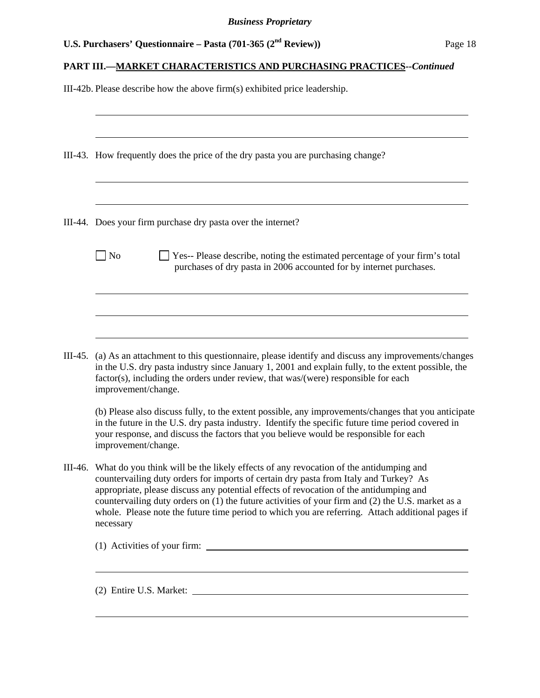|  |  | U.S. Purchasers' Questionnaire – Pasta (701-365 ( $2nd$ Review)) | Page 18 |
|--|--|------------------------------------------------------------------|---------|
|--|--|------------------------------------------------------------------|---------|

# **PART III.—MARKET CHARACTERISTICS AND PURCHASING PRACTICES***--Continued*

III-42b. Please describe how the above firm(s) exhibited price leadership.

|         | III-43. How frequently does the price of the dry pasta you are purchasing change?                                                                                                                                                                                                                                                                                                                                                                                                              |  |  |  |  |
|---------|------------------------------------------------------------------------------------------------------------------------------------------------------------------------------------------------------------------------------------------------------------------------------------------------------------------------------------------------------------------------------------------------------------------------------------------------------------------------------------------------|--|--|--|--|
|         | III-44. Does your firm purchase dry pasta over the internet?                                                                                                                                                                                                                                                                                                                                                                                                                                   |  |  |  |  |
|         | $\vert$ No<br>Yes-- Please describe, noting the estimated percentage of your firm's total<br>purchases of dry pasta in 2006 accounted for by internet purchases.                                                                                                                                                                                                                                                                                                                               |  |  |  |  |
|         |                                                                                                                                                                                                                                                                                                                                                                                                                                                                                                |  |  |  |  |
|         | III-45. (a) As an attachment to this questionnaire, please identify and discuss any improvements/changes<br>in the U.S. dry pasta industry since January 1, 2001 and explain fully, to the extent possible, the<br>factor(s), including the orders under review, that was/(were) responsible for each<br>improvement/change.                                                                                                                                                                   |  |  |  |  |
|         | (b) Please also discuss fully, to the extent possible, any improvements/changes that you anticipate<br>in the future in the U.S. dry pasta industry. Identify the specific future time period covered in<br>your response, and discuss the factors that you believe would be responsible for each<br>improvement/change.                                                                                                                                                                       |  |  |  |  |
| III-46. | What do you think will be the likely effects of any revocation of the antidumping and<br>countervailing duty orders for imports of certain dry pasta from Italy and Turkey? As<br>appropriate, please discuss any potential effects of revocation of the antidumping and<br>countervailing duty orders on (1) the future activities of your firm and (2) the U.S. market as a<br>whole. Please note the future time period to which you are referring. Attach additional pages if<br>necessary |  |  |  |  |
|         |                                                                                                                                                                                                                                                                                                                                                                                                                                                                                                |  |  |  |  |
|         | <u> 1989 - Andrea Andrew Maria (h. 1989).</u>                                                                                                                                                                                                                                                                                                                                                                                                                                                  |  |  |  |  |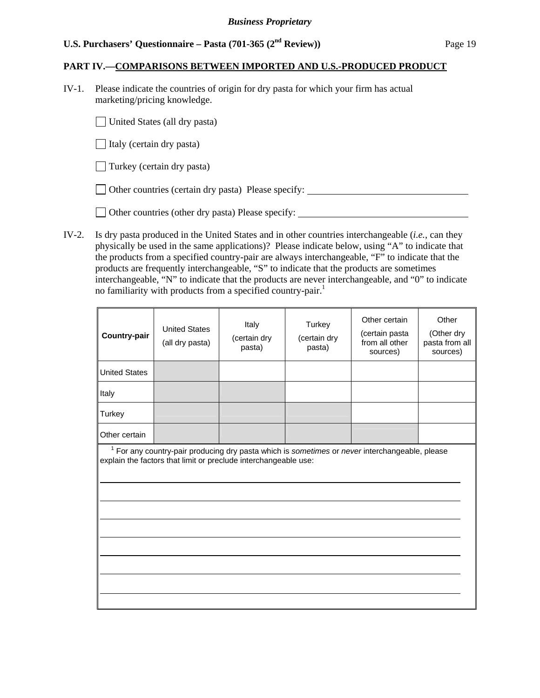#### **PART IV.—COMPARISONS BETWEEN IMPORTED AND U.S.-PRODUCED PRODUCT**

IV-1. Please indicate the countries of origin for dry pasta for which your firm has actual marketing/pricing knowledge.

United States (all dry pasta)

 $\Box$  Italy (certain dry pasta)

 $\Box$  Turkey (certain dry pasta)

Other countries (certain dry pasta) Please specify:

Other countries (other dry pasta) Please specify:

IV-2. Is dry pasta produced in the United States and in other countries interchangeable (*i.e.*, can they physically be used in the same applications)? Please indicate below, using "A" to indicate that the products from a specified country-pair are always interchangeable, "F" to indicate that the products are frequently interchangeable, "S" to indicate that the products are sometimes interchangeable, "N" to indicate that the products are never interchangeable, and "0" to indicate no familiarity with products from a specified country-pair.<sup>1</sup>

| <b>Country-pair</b>  | <b>United States</b><br>(all dry pasta) | Italy<br>(certain dry<br>pasta)                                 | Turkey<br>(certain dry<br>pasta) | Other certain<br>(certain pasta<br>from all other<br>sources)                                    | Other<br>(Other dry<br>pasta from all<br>sources) |
|----------------------|-----------------------------------------|-----------------------------------------------------------------|----------------------------------|--------------------------------------------------------------------------------------------------|---------------------------------------------------|
| <b>United States</b> |                                         |                                                                 |                                  |                                                                                                  |                                                   |
| Italy                |                                         |                                                                 |                                  |                                                                                                  |                                                   |
| Turkey               |                                         |                                                                 |                                  |                                                                                                  |                                                   |
| Other certain        |                                         |                                                                 |                                  |                                                                                                  |                                                   |
|                      |                                         | explain the factors that limit or preclude interchangeable use: |                                  | $1$ For any country-pair producing dry pasta which is sometimes or never interchangeable, please |                                                   |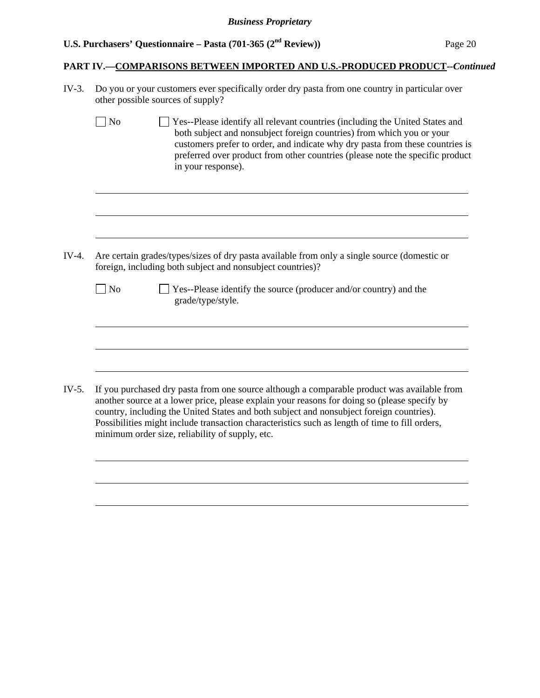$\overline{a}$ 

 $\overline{a}$ 

 $\overline{a}$ 

#### **PART IV.—COMPARISONS BETWEEN IMPORTED AND U.S.-PRODUCED PRODUCT***--Continued*

IV-3. Do you or your customers ever specifically order dry pasta from one country in particular over other possible sources of supply?

No Ses-Please identify all relevant countries (including the United States and both subject and nonsubject foreign countries) from which you or your customers prefer to order, and indicate why dry pasta from these countries is preferred over product from other countries (please note the specific product in your response).

IV-4. Are certain grades/types/sizes of dry pasta available from only a single source (domestic or foreign, including both subject and nonsubject countries)?

| No | $\Box$ Yes--Please identify the source (producer and/or country) and the |
|----|--------------------------------------------------------------------------|
|    | grade/type/style.                                                        |

IV-5. If you purchased dry pasta from one source although a comparable product was available from another source at a lower price, please explain your reasons for doing so (please specify by country, including the United States and both subject and nonsubject foreign countries). Possibilities might include transaction characteristics such as length of time to fill orders, minimum order size, reliability of supply, etc.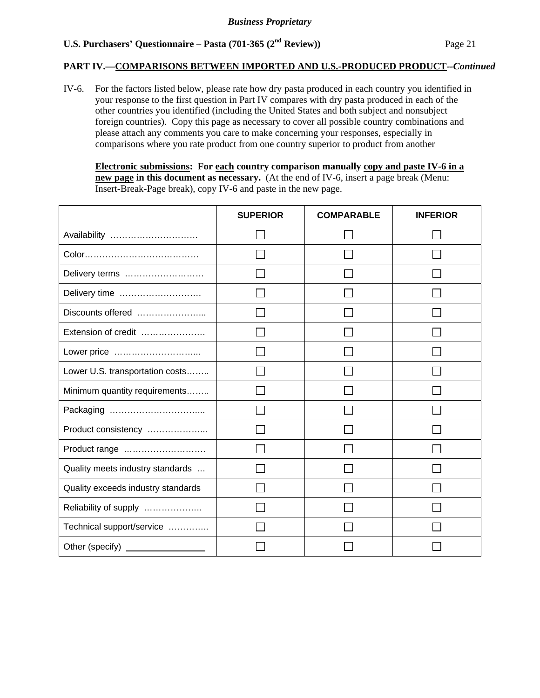#### **PART IV.—COMPARISONS BETWEEN IMPORTED AND U.S.-PRODUCED PRODUCT***--Continued*

IV-6. For the factors listed below, please rate how dry pasta produced in each country you identified in your response to the first question in Part IV compares with dry pasta produced in each of the other countries you identified (including the United States and both subject and nonsubject foreign countries). Copy this page as necessary to cover all possible country combinations and please attach any comments you care to make concerning your responses, especially in comparisons where you rate product from one country superior to product from another

**Electronic submissions: For each country comparison manually copy and paste IV-6 in a new page in this document as necessary.** (At the end of IV-6, insert a page break (Menu: Insert-Break-Page break), copy IV-6 and paste in the new page.

|                                    | <b>SUPERIOR</b> | <b>COMPARABLE</b> | <b>INFERIOR</b> |
|------------------------------------|-----------------|-------------------|-----------------|
| Availability                       |                 |                   |                 |
|                                    |                 |                   |                 |
| Delivery terms                     |                 |                   |                 |
| Delivery time                      |                 |                   |                 |
| Discounts offered                  |                 |                   |                 |
| Extension of credit                |                 |                   |                 |
| Lower price                        |                 |                   |                 |
| Lower U.S. transportation costs    |                 |                   |                 |
| Minimum quantity requirements      |                 |                   |                 |
|                                    |                 |                   |                 |
| Product consistency                |                 |                   |                 |
| Product range                      |                 |                   |                 |
| Quality meets industry standards   |                 |                   |                 |
| Quality exceeds industry standards |                 |                   |                 |
| Reliability of supply              |                 |                   |                 |
| Technical support/service          |                 |                   |                 |
|                                    |                 |                   |                 |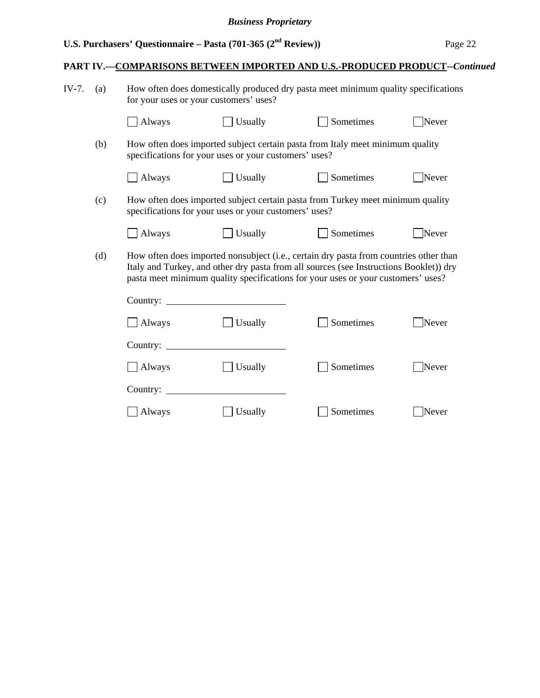# **PART IV.—COMPARISONS BETWEEN IMPORTED AND U.S.-PRODUCED PRODUCT***--Continued*

| IV-7. | (a) | How often does domestically produced dry pasta meet minimum quality specifications<br>for your uses or your customers' uses? |                                                       |                                                                                                                                                                                                                                                                     |       |
|-------|-----|------------------------------------------------------------------------------------------------------------------------------|-------------------------------------------------------|---------------------------------------------------------------------------------------------------------------------------------------------------------------------------------------------------------------------------------------------------------------------|-------|
|       |     | Always                                                                                                                       | Usually                                               | Sometimes                                                                                                                                                                                                                                                           | Never |
|       | (b) |                                                                                                                              | specifications for your uses or your customers' uses? | How often does imported subject certain pasta from Italy meet minimum quality                                                                                                                                                                                       |       |
|       |     | Always                                                                                                                       | $\Box$ Usually                                        | Sometimes                                                                                                                                                                                                                                                           | Never |
|       | (c) |                                                                                                                              | specifications for your uses or your customers' uses? | How often does imported subject certain pasta from Turkey meet minimum quality                                                                                                                                                                                      |       |
|       |     | Always                                                                                                                       | Usually                                               | Sometimes                                                                                                                                                                                                                                                           | Never |
|       | (d) |                                                                                                                              |                                                       | How often does imported nonsubject (i.e., certain dry pasta from countries other than<br>Italy and Turkey, and other dry pasta from all sources (see Instructions Booklet)) dry<br>pasta meet minimum quality specifications for your uses or your customers' uses? |       |
|       |     |                                                                                                                              |                                                       |                                                                                                                                                                                                                                                                     |       |
|       |     | $\Box$ Always                                                                                                                | Usually                                               | Sometimes                                                                                                                                                                                                                                                           | Never |
|       |     | Country:                                                                                                                     |                                                       |                                                                                                                                                                                                                                                                     |       |
|       |     | Always                                                                                                                       | Usually                                               | Sometimes                                                                                                                                                                                                                                                           | Never |
|       |     | Country: $\overline{\phantom{a}}$                                                                                            |                                                       |                                                                                                                                                                                                                                                                     |       |
|       |     | Always                                                                                                                       | Usually                                               | Sometimes                                                                                                                                                                                                                                                           | Never |
|       |     |                                                                                                                              |                                                       |                                                                                                                                                                                                                                                                     |       |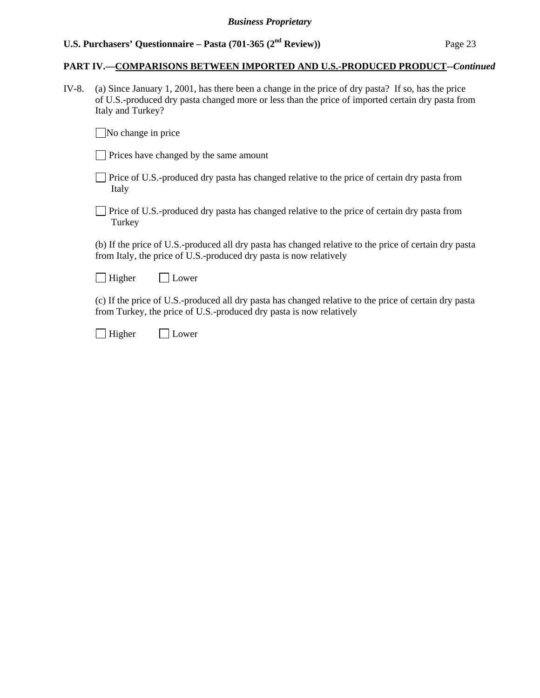#### **PART IV.—COMPARISONS BETWEEN IMPORTED AND U.S.-PRODUCED PRODUCT***--Continued*

IV-8. (a) Since January 1, 2001, has there been a change in the price of dry pasta? If so, has the price of U.S.-produced dry pasta changed more or less than the price of imported certain dry pasta from Italy and Turkey?

 $\Box$  No change in price

|  |  |  | Prices have changed by the same amount |  |  |  |
|--|--|--|----------------------------------------|--|--|--|
|--|--|--|----------------------------------------|--|--|--|

- Price of U.S.-produced dry pasta has changed relative to the price of certain dry pasta from Italy
- Price of U.S.-produced dry pasta has changed relative to the price of certain dry pasta from Turkey

 (b) If the price of U.S.-produced all dry pasta has changed relative to the price of certain dry pasta from Italy, the price of U.S.-produced dry pasta is now relatively

Higher Lower

 (c) If the price of U.S.-produced all dry pasta has changed relative to the price of certain dry pasta from Turkey, the price of U.S.-produced dry pasta is now relatively

Higher Lower